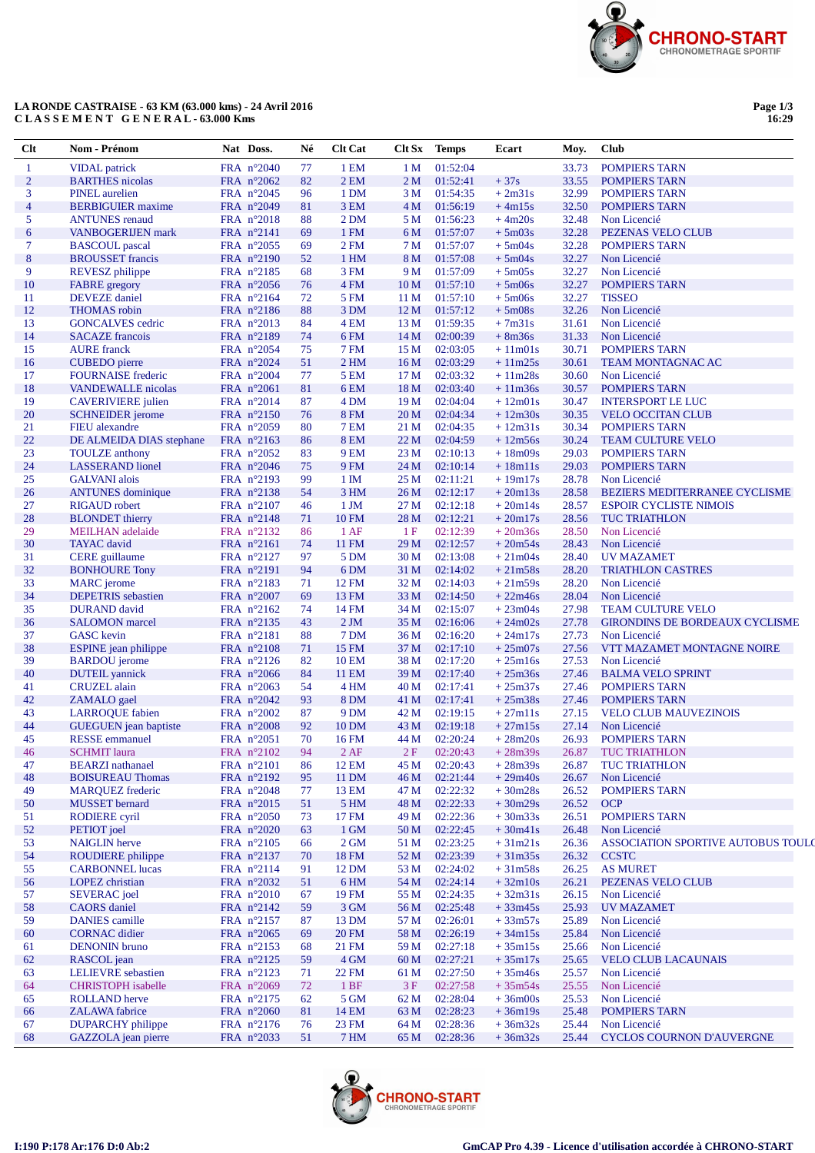

## LA RONDE CASTRAISE - 63 KM (63.000 kms) - 24 Avril 2016<br>CLASSEMENT GENERAL - 63.000 Kms

Page 1/3<br>16:29

| Clt            | Nom - Prénom                                     | Nat Doss.                | Né       | <b>Clt Cat</b>      | Clt Sx                             | <b>Temps</b>         | Ecart                  | Moy.           | <b>Club</b>                               |
|----------------|--------------------------------------------------|--------------------------|----------|---------------------|------------------------------------|----------------------|------------------------|----------------|-------------------------------------------|
| -1             | <b>VIDAL</b> patrick                             | FRA n°2040               | 77       | 1 <sub>EM</sub>     | 1 <sub>M</sub>                     | 01:52:04             |                        | 33.73          | <b>POMPIERS TARN</b>                      |
| $\overline{2}$ | <b>BARTHES</b> nicolas                           | FRA n°2062               | 82       | 2EM                 | 2 <sub>M</sub>                     | 01:52:41             | $+37s$                 | 33.55          | <b>POMPIERS TARN</b>                      |
| 3              | <b>PINEL</b> aurelien                            | FRA $n^{\circ}2045$      | 96       | 1 DM                | 3 M                                | 01:54:35             | $+2m31s$               | 32.99          | <b>POMPIERS TARN</b>                      |
| $\overline{4}$ | <b>BERBIGUIER</b> maxime                         | FRA n°2049               | 81       | 3 EM                | 4 M                                | 01:56:19             | $+4m15s$               | 32.50          | <b>POMPIERS TARN</b>                      |
| 5              | <b>ANTUNES</b> renaud                            | FRA n°2018               | 88       | 2DM                 | 5 M                                | 01:56:23             | $+4m20s$               | 32.48          | Non Licencié                              |
| 6              | <b>VANBOGERIJEN</b> mark                         | FRA n°2141               | 69       | 1 FM                | 6 M                                | 01:57:07             | $+5m03s$               | 32.28          | PEZENAS VELO CLUB                         |
| 7              | <b>BASCOUL</b> pascal                            | FRA $n^{\circ}2055$      | 69       | $2$ FM              | 7 M                                | 01:57:07             | $+5m04s$               | 32.28          | <b>POMPIERS TARN</b>                      |
| $\bf 8$        | <b>BROUSSET</b> francis                          | FRA n°2190               | 52       | 1 HM                | 8 M                                | 01:57:08             | $+5m04s$               | 32.27          | Non Licencié                              |
| 9              | REVESZ philippe                                  | FRA n°2185               | 68       | 3 FM                | 9 M                                | 01:57:09             | $+5m05s$               | 32.27          | Non Licencié                              |
| 10             | <b>FABRE</b> gregory                             | FRA n°2056               | 76       | 4 FM                | 10 <sub>M</sub>                    | 01:57:10             | $+5m06s$               | 32.27          | <b>POMPIERS TARN</b>                      |
| 11<br>12       | <b>DEVEZE</b> daniel<br><b>THOMAS</b> robin      | FRA n°2164               | 72<br>88 | <b>5 FM</b><br>3 DM | 11 <sub>M</sub><br>12 <sub>M</sub> | 01:57:10             | $+5m06s$               | 32.27<br>32.26 | <b>TISSEO</b><br>Non Licencié             |
| 13             | <b>GONCALVES</b> cedric                          | FRA n°2186<br>FRA n°2013 | 84       | 4 <sub>EM</sub>     | 13 M                               | 01:57:12<br>01:59:35 | $+5m08s$<br>$+7m31s$   | 31.61          | Non Licencié                              |
| 14             | <b>SACAZE</b> francois                           | FRA n°2189               | 74       | 6FM                 | 14 M                               | 02:00:39             | $+8m36s$               | 31.33          | Non Licencié                              |
| 15             | <b>AURE</b> franck                               | FRA n°2054               | 75       | <b>7 FM</b>         | 15 <sub>M</sub>                    | 02:03:05             | $+11m01s$              | 30.71          | <b>POMPIERS TARN</b>                      |
| 16             | <b>CUBEDO</b> pierre                             | FRA n°2024               | 51       | 2 <sub>HM</sub>     | 16 <sub>M</sub>                    | 02:03:29             | $+11m25s$              | 30.61          | <b>TEAM MONTAGNAC AC</b>                  |
| 17             | <b>FOURNAISE</b> frederic                        | FRA $n^{\circ}2004$      | 77       | <b>5 EM</b>         | 17 <sub>M</sub>                    | 02:03:32             | $+11m28s$              | 30.60          | Non Licencié                              |
| 18             | <b>VANDEWALLE</b> nicolas                        | FRA $n^{\circ}2061$      | 81       | 6 <sub>EM</sub>     | 18 M                               | 02:03:40             | $+11m36s$              | 30.57          | <b>POMPIERS TARN</b>                      |
| 19             | <b>CAVERIVIERE</b> julien                        | FRA $n^{\circ}2014$      | 87       | 4 DM                | 19 <sub>M</sub>                    | 02:04:04             | $+12m01s$              | 30.47          | <b>INTERSPORT LE LUC</b>                  |
| 20             | <b>SCHNEIDER</b> jerome                          | FRA n°2150               | 76       | <b>8 FM</b>         | 20 <sub>M</sub>                    | 02:04:34             | $+12m30s$              | 30.35          | <b>VELO OCCITAN CLUB</b>                  |
| 21             | <b>FIEU</b> alexandre                            | FRA n°2059               | 80       | <b>7 EM</b>         | 21 M                               | 02:04:35             | $+12m31s$              | 30.34          | <b>POMPIERS TARN</b>                      |
| 22             | DE ALMEIDA DIAS stephane                         | FRA n°2163               | 86       | <b>8 EM</b>         | 22 <sub>M</sub>                    | 02:04:59             | $+12m56s$              | 30.24          | <b>TEAM CULTURE VELO</b>                  |
| 23             | <b>TOULZE</b> anthony                            | FRA n°2052               | 83       | <b>9 EM</b>         | 23 M                               | 02:10:13             | $+18m09s$              | 29.03          | <b>POMPIERS TARN</b>                      |
| 24             | <b>LASSERAND</b> lionel                          | FRA n°2046               | 75       | <b>9 FM</b>         | 24 M                               | 02:10:14             | $+18m11s$              | 29.03          | <b>POMPIERS TARN</b>                      |
| 25             | <b>GALVANI</b> alois                             | FRA n°2193               | 99       | 1 <sub>IM</sub>     | 25 M                               | 02:11:21             | $+19m17s$              | 28.78          | Non Licencié                              |
| 26             | <b>ANTUNES</b> dominique                         | FRA n°2138               | 54       | 3 HM                | 26 M                               | 02:12:17             | $+20m13s$              | 28.58          | <b>BEZIERS MEDITERRANEE CYCLISME</b>      |
| 27             | <b>RIGAUD</b> robert                             | FRA n°2107               | 46       | $1 \,$ JM           | 27 M                               | 02:12:18             | $+20m14s$              | 28.57          | <b>ESPOIR CYCLISTE NIMOIS</b>             |
| 28             | <b>BLONDET</b> thierry                           | FRA n°2148               | 71       | <b>10 FM</b>        | 28 M                               | 02:12:21             | $+20m17s$              | 28.56          | <b>TUC TRIATHLON</b>                      |
| 29             | <b>MEILHAN</b> adelaide                          | FRA n°2132               | 86       | 1AF                 | 1F                                 | 02:12:39             | $+20m36s$              | 28.50          | Non Licencié                              |
| 30             | <b>TAYAC</b> david                               | FRA n°2161               | 74       | 11 FM               | 29 M                               | 02:12:57             | $+20m54s$              | 28.43          | Non Licencié                              |
| 31             | <b>CERE</b> guillaume                            | FRA n°2127               | 97       | 5 DM                | 30 M                               | 02:13:08             | $+21m04s$              | 28.40          | <b>UV MAZAMET</b>                         |
| 32             | <b>BONHOURE Tony</b>                             | FRA n°2191               | 94       | 6 <sub>DM</sub>     | 31 M                               | 02:14:02             | $+21m58s$              | 28.20          | <b>TRIATHLON CASTRES</b>                  |
| 33             | <b>MARC</b> jerome                               | FRA n°2183               | 71       | 12 FM               | 32 M                               | 02:14:03             | $+21m59s$              | 28.20          | Non Licencié                              |
| 34<br>35       | <b>DEPETRIS</b> sebastien<br><b>DURAND</b> david | FRA n°2007               | 69<br>74 | 13 FM<br>14 FM      | 33 M                               | 02:14:50<br>02:15:07 | $+22m46s$<br>$+23m04s$ | 28.04          | Non Licencié<br><b>TEAM CULTURE VELO</b>  |
| 36             | <b>SALOMON</b> marcel                            | FRA n°2162<br>FRA n°2135 | 43       | 2JM                 | 34 M<br>35 M                       | 02:16:06             | $+24m02s$              | 27.98<br>27.78 | <b>GIRONDINS DE BORDEAUX CYCLISME</b>     |
| 37             | <b>GASC</b> kevin                                | FRA n°2181               | 88       | 7 DM                | 36 M                               | 02:16:20             | $+24m17s$              | 27.73          | Non Licencié                              |
| 38             | <b>ESPINE</b> jean philippe                      | FRA n°2108               | 71       | <b>15 FM</b>        | 37 M                               | 02:17:10             | $+25m07s$              | 27.56          | VTT MAZAMET MONTAGNE NOIRE                |
| 39             | <b>BARDOU</b> jerome                             | FRA n°2126               | 82       | 10 EM               | 38 M                               | 02:17:20             | $+25m16s$              | 27.53          | Non Licencié                              |
| 40             | <b>DUTEIL</b> yannick                            | FRA n°2066               | 84       | 11 EM               | 39 M                               | 02:17:40             | $+25m36s$              | 27.46          | <b>BALMA VELO SPRINT</b>                  |
| 41             | <b>CRUZEL</b> alain                              | FRA n°2063               | 54       | 4 HM                | 40 M                               | 02:17:41             | $+25m37s$              | 27.46          | <b>POMPIERS TARN</b>                      |
| 42             | ZAMALO gael                                      | FRA n°2042               | 93       | <b>8 DM</b>         | 41 M                               | 02:17:41             | $+25m38s$              | 27.46          | <b>POMPIERS TARN</b>                      |
| 43             | <b>LARROQUE</b> fabien                           | FRA n°2002               | 87       | 9 DM                | 42 M                               | 02:19:15             | $+27m11s$              | 27.15          | <b>VELO CLUB MAUVEZINOIS</b>              |
| 44             | <b>GUEGUEN</b> jean baptiste                     | FRA n°2008               | 92       | 10 DM               | 43 M                               | 02:19:18             | $+27m15s$              | 27.14          | Non Licencié                              |
| 45             | <b>RESSE</b> emmanuel                            | FRA $n^{\circ}2051$      | 70       | 16 FM               | 44 M                               | 02:20:24             | $+28m20s$              | 26.93          | <b>POMPIERS TARN</b>                      |
| 46             | <b>SCHMIT</b> laura                              | FRA n°2102               | 94       | 2AF                 | 2F                                 | 02:20:43             | $+28m39s$              | 26.87          | <b>TUC TRIATHLON</b>                      |
| 47             | <b>BEARZI</b> nathanael                          | FRA n°2101               | 86       | <b>12 EM</b>        | 45 M                               | 02:20:43             | $+28m39s$              | 26.87          | <b>TUC TRIATHLON</b>                      |
| 48             | <b>BOISUREAU Thomas</b>                          | FRA n°2192               | 95       | 11 DM               | 46 M                               | 02:21:44             | $+29m40s$              | 26.67          | Non Licencié                              |
| 49             | <b>MARQUEZ</b> frederic                          | FRA n°2048               | 77       | 13 EM               | 47 M                               | 02:22:32             | $+30m28s$              | 26.52          | <b>POMPIERS TARN</b>                      |
| 50             | <b>MUSSET</b> bernard                            | FRA n°2015               | 51       | 5 HM                | 48 M                               | 02:22:33             | $+30m29s$              | 26.52          | <b>OCP</b>                                |
| 51             | <b>RODIERE</b> cyril                             | FRA n°2050               | 73       | 17 FM               | 49 M                               | 02:22:36             | $+30m33s$              | 26.51          | <b>POMPIERS TARN</b>                      |
| 52             | PETIOT joel                                      | FRA n°2020               | 63       | 1 GM                | 50 M                               | 02:22:45             | $+30m41s$              | 26.48          | Non Licencié                              |
| 53             | <b>NAIGLIN</b> herve                             | FRA n°2105               | 66       | $2$ GM              | 51 M                               | 02:23:25             | $+31m21s$              | 26.36          | <b>ASSOCIATION SPORTIVE AUTOBUS TOULO</b> |
| 54             | ROUDIERE philippe                                | FRA n°2137               | 70       | 18 FM               | 52 M                               | 02:23:39             | $+31m35s$              | 26.32          | <b>CCSTC</b><br><b>AS MURET</b>           |
| 55             | <b>CARBONNEL</b> lucas<br>LOPEZ christian        | FRA n°2114               | 91       | 12 DM               | 53 M                               | 02:24:02             | $+31m58s$              | 26.25          | PEZENAS VELO CLUB                         |
| 56<br>57       | <b>SEVERAC</b> joel                              | FRA n°2032<br>FRA n°2010 | 51<br>67 | 6 HM<br>19 FM       | 54 M<br>55 M                       | 02:24:14<br>02:24:35 | $+32m10s$<br>$+32m31s$ | 26.21<br>26.15 | Non Licencié                              |
| 58             | <b>CAORS</b> daniel                              | FRA n°2142               | 59       | 3 GM                | 56 M                               | 02:25:48             | $+33m45s$              | 25.93          | <b>UV MAZAMET</b>                         |
| 59             | <b>DANIES</b> camille                            | FRA n°2157               | 87       | 13 DM               | 57 M                               | 02:26:01             | $+33m57s$              | 25.89          | Non Licencié                              |
| 60             | <b>CORNAC</b> didier                             | FRA n°2065               | 69       | <b>20 FM</b>        | 58 M                               | 02:26:19             | $+34m15s$              | 25.84          | Non Licencié                              |
| 61             | <b>DENONIN</b> bruno                             | FRA n°2153               | 68       | 21 FM               | 59 M                               | 02:27:18             | $+35m15s$              | 25.66          | Non Licencié                              |
| 62             | RASCOL jean                                      | FRA n°2125               | 59       | 4 GM                | 60 M                               | 02:27:21             | $+35m17s$              | 25.65          | <b>VELO CLUB LACAUNAIS</b>                |
| 63             | LELIEVRE sebastien                               | FRA n°2123               | 71       | 22 FM               | 61 M                               | 02:27:50             | $+35m46s$              | 25.57          | Non Licencié                              |
| 64             | <b>CHRISTOPH</b> isabelle                        | FRA n°2069               | 72       | 1BF                 | $3F$                               | 02:27:58             | $+35m54s$              | 25.55          | Non Licencié                              |
| 65             | <b>ROLLAND</b> herve                             | FRA n°2175               | 62       | 5 GM                | 62 M                               | 02:28:04             | $+36 \text{m}$ OOs     | 25.53          | Non Licencié                              |
| 66             | <b>ZALAWA</b> fabrice                            | FRA n°2060               | 81       | 14 EM               | 63 M                               | 02:28:23             | $+36m19s$              | 25.48          | <b>POMPIERS TARN</b>                      |
| 67             | <b>DUPARCHY</b> philippe                         | FRA n°2176               | 76       | 23 FM               | 64 M                               | 02:28:36             | $+36m32s$              | 25.44          | Non Licencié                              |
| 68             | GAZZOLA jean pierre                              | FRA n°2033               | 51       | <b>7 HM</b>         | 65 M                               | 02:28:36             | $+36m32s$              | 25.44          | <b>CYCLOS COURNON D'AUVERGNE</b>          |

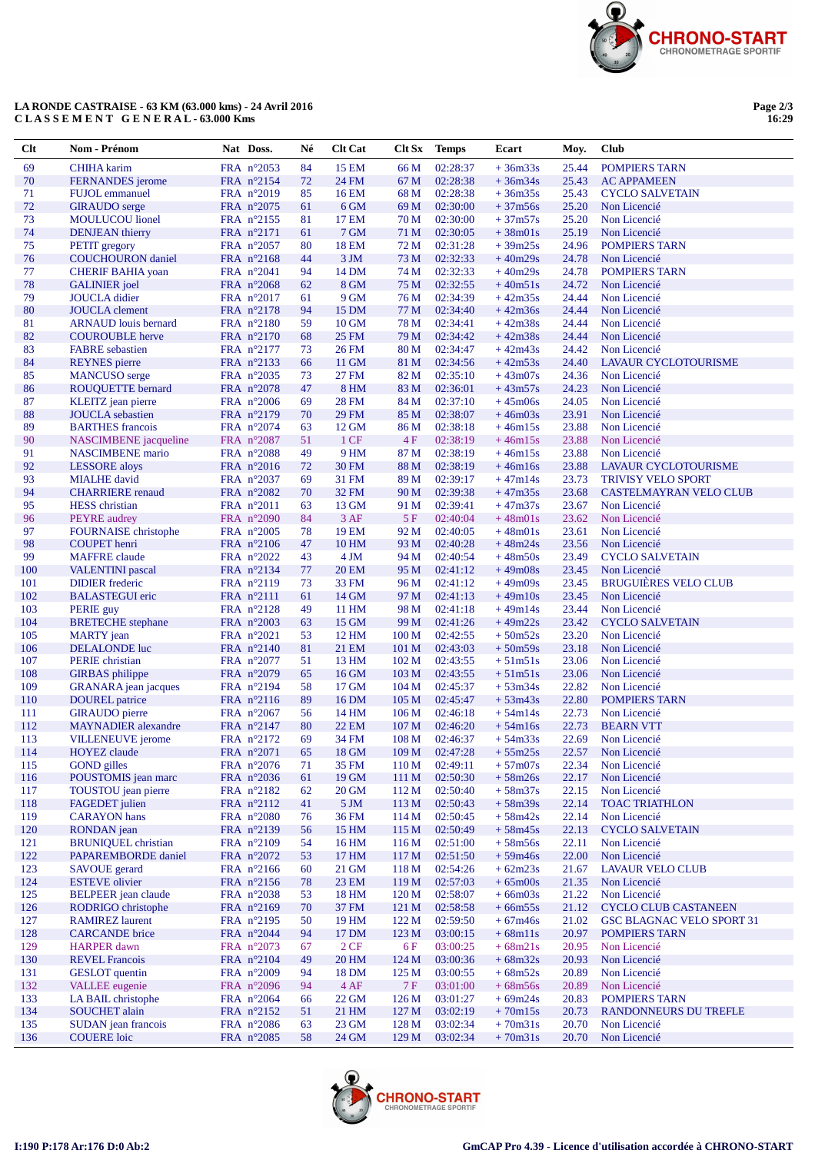

## LA RONDE CASTRAISE - 63 KM (63.000 kms) - 24 Avril 2016<br>CLASSEMENT GENERAL - 63.000 Kms

Page 2/3<br>16:29

| Clt        | Nom - Prénom                                          | Nat Doss.                         | Né       | <b>Clt Cat</b> | Clt Sx                    | <b>Temps</b>         | Ecart                  | Moy.           | <b>Club</b>                                   |
|------------|-------------------------------------------------------|-----------------------------------|----------|----------------|---------------------------|----------------------|------------------------|----------------|-----------------------------------------------|
| 69         | <b>CHIHA</b> karim                                    | FRA n°2053                        | 84       | 15 EM          | 66 M                      | 02:28:37             | $+36m33s$              | 25.44          | <b>POMPIERS TARN</b>                          |
| 70         | FERNANDES jerome                                      | FRA n°2154                        | 72       | <b>24 FM</b>   | 67 M                      | 02:28:38             | $+36m34s$              | 25.43          | <b>AC APPAMEEN</b>                            |
| 71         | <b>FUJOL</b> emmanuel                                 | FRA n°2019                        | 85       | 16 EM          | 68 M                      | 02:28:38             | $+36m35s$              | 25.43          | <b>CYCLO SALVETAIN</b>                        |
| 72         | <b>GIRAUDO</b> serge                                  | FRA n°2075                        | 61       | 6 GM           | 69 M                      | 02:30:00             | $+37m56s$              | 25.20          | Non Licencié                                  |
| 73         | <b>MOULUCOU</b> lionel                                | FRA n°2155                        | 81       | 17 EM          | 70 M                      | 02:30:00             | $+37m57s$              | 25.20          | Non Licencié                                  |
| 74         | <b>DENJEAN</b> thierry                                | FRA n°2171                        | 61       | 7 GM           | 71 M                      | 02:30:05             | $+38m01s$              | 25.19          | Non Licencié                                  |
| 75         | PETIT gregory                                         | FRA $n^{\circ}2057$               | 80       | 18 EM          | 72 M                      | 02:31:28             | $+39m25s$              | 24.96          | <b>POMPIERS TARN</b>                          |
| 76         | <b>COUCHOURON</b> daniel                              | FRA n°2168                        | 44       | $3 \text{ JM}$ | 73 M                      | 02:32:33             | $+40m29s$              | 24.78          | Non Licencié                                  |
| 77         | <b>CHERIF BAHIA</b> yoan                              | FRA $n^{\circ}2041$               | 94       | 14 DM          | 74 M                      | 02:32:33             | $+40m29s$              | 24.78          | <b>POMPIERS TARN</b>                          |
| 78         | <b>GALINIER</b> joel                                  | FRA n°2068                        | 62       | 8 GM           | 75 M                      | 02:32:55             | $+40m51s$              | 24.72          | Non Licencié                                  |
| 79<br>80   | <b>JOUCLA</b> didier<br><b>JOUCLA</b> clement         | FRA $n^{\circ}2017$<br>FRA n°2178 | 61<br>94 | 9 GM<br>15 DM  | 76 M<br>77 M              | 02:34:39<br>02:34:40 | $+42m35s$<br>$+42m36s$ | 24.44<br>24.44 | Non Licencié<br>Non Licencié                  |
| 81         | <b>ARNAUD</b> louis bernard                           | FRA n°2180                        | 59       | $10$ GM        | 78 M                      | 02:34:41             | $+42m38s$              | 24.44          | Non Licencié                                  |
| 82         | <b>COUROUBLE</b> herve                                | FRA n°2170                        | 68       | <b>25 FM</b>   | 79 M                      | 02:34:42             | $+42m38s$              | 24.44          | Non Licencié                                  |
| 83         | <b>FABRE</b> sebastien                                | FRA n°2177                        | 73       | 26 FM          | 80 M                      | 02:34:47             | $+42m43s$              | 24.42          | Non Licencié                                  |
| 84         | <b>REYNES</b> pierre                                  | FRA n°2133                        | 66       | 11 GM          | 81 M                      | 02:34:56             | $+42m53s$              | 24.40          | LAVAUR CYCLOTOURISME                          |
| 85         | <b>MANCUSO</b> serge                                  | FRA $n^{\circ}2035$               | 73       | 27 FM          | 82 M                      | 02:35:10             | $+43m07s$              | 24.36          | Non Licencié                                  |
| 86         | ROUQUETTE bernard                                     | FRA n°2078                        | 47       | <b>8 HM</b>    | 83 M                      | 02:36:01             | $+43m57s$              | 24.23          | Non Licencié                                  |
| 87         | KLEITZ jean pierre                                    | FRA $n^{\circ}2006$               | 69       | 28 FM          | 84 M                      | 02:37:10             | $+45m06s$              | 24.05          | Non Licencié                                  |
| 88         | <b>JOUCLA</b> sebastien                               | FRA n°2179                        | 70       | 29 FM          | 85 M                      | 02:38:07             | $+46m03s$              | 23.91          | Non Licencié                                  |
| 89         | <b>BARTHES</b> francois                               | FRA $n^{\circ}2074$               | 63       | 12 GM          | 86 M                      | 02:38:18             | $+46m15s$              | 23.88          | Non Licencié                                  |
| 90         | NASCIMBENE jacqueline                                 | FRA n°2087                        | 51       | $1 \text{CF}$  | 4F                        | 02:38:19             | $+46m15s$              | 23.88          | Non Licencié                                  |
| 91         | <b>NASCIMBENE</b> mario                               | FRA n°2088                        | 49       | 9 HM           | 87 M                      | 02:38:19             | $+46m15s$              | 23.88          | Non Licencié                                  |
| 92         | <b>LESSORE</b> aloys                                  | FRA $n^{\circ}2016$               | 72       | <b>30 FM</b>   | 88 M                      | 02:38:19             | $+46m16s$              | 23.88          | <b>LAVAUR CYCLOTOURISME</b>                   |
| 93<br>94   | <b>MIALHE</b> david                                   | FRA n°2037                        | 69       | 31 FM<br>32 FM | 89 M<br>90 M              | 02:39:17<br>02:39:38 | $+47m14s$              | 23.73<br>23.68 | <b>TRIVISY VELO SPORT</b>                     |
| 95         | <b>CHARRIERE</b> renaud<br><b>HESS</b> christian      | FRA n°2082<br>FRA $n^{\circ}2011$ | 70<br>63 | 13 GM          | 91 M                      | 02:39:41             | $+47m35s$<br>$+47m37s$ | 23.67          | <b>CASTELMAYRAN VELO CLUB</b><br>Non Licencié |
| 96         | <b>PEYRE</b> audrey                                   | FRA n°2090                        | 84       | 3AF            | 5F                        | 02:40:04             | $+48m01s$              | 23.62          | Non Licencié                                  |
| 97         | <b>FOURNAISE</b> christophe                           | FRA $n^{\circ}2005$               | 78       | 19 EM          | 92 M                      | 02:40:05             | $+48m01s$              | 23.61          | Non Licencié                                  |
| 98         | <b>COUPET</b> henri                                   | FRA n°2106                        | 47       | 10 HM          | 93 M                      | 02:40:28             | $+48m24s$              | 23.56          | Non Licencié                                  |
| 99         | <b>MAFFRE</b> claude                                  | FRA $n^{\circ}2022$               | 43       | $4 \text{ JM}$ | 94 M                      | 02:40:54             | $+48m50s$              | 23.49          | <b>CYCLO SALVETAIN</b>                        |
| 100        | <b>VALENTINI</b> pascal                               | FRA n°2134                        | 77       | <b>20 EM</b>   | 95 M                      | 02:41:12             | $+49m08s$              | 23.45          | Non Licencié                                  |
| 101        | <b>DIDIER</b> frederic                                | FRA n°2119                        | 73       | 33 FM          | 96 M                      | 02:41:12             | $+49m09s$              | 23.45          | <b>BRUGUIÈRES VELO CLUB</b>                   |
| 102        | <b>BALASTEGUI</b> eric                                | FRA n°2111                        | 61       | 14 GM          | 97 M                      | 02:41:13             | $+49m10s$              | 23.45          | Non Licencié                                  |
| 103        | PERIE guy                                             | FRA n°2128                        | 49       | 11 HM          | 98 M                      | 02:41:18             | $+49m14s$              | 23.44          | Non Licencié                                  |
| 104        | <b>BRETECHE</b> stephane                              | FRA n°2003                        | 63       | 15 GM          | 99 M                      | 02:41:26             | $+49m22s$              | 23.42          | <b>CYCLO SALVETAIN</b>                        |
| 105        | <b>MARTY</b> jean                                     | FRA $n^{\circ}2021$               | 53       | 12 HM          | 100 <sub>M</sub>          | 02:42:55             | $+50m52s$              | 23.20          | Non Licencié                                  |
| 106        | <b>DELALONDE</b> luc                                  | FRA n°2140                        | 81       | 21 EM          | 101 M                     | 02:43:03             | $+50m59s$              | 23.18          | Non Licencié                                  |
| 107<br>108 | PERIE christian                                       | FRA n°2077                        | 51       | 13 HM          | 102 <sub>M</sub>          | 02:43:55<br>02:43:55 | $+51m51s$              | 23.06<br>23.06 | Non Licencié                                  |
| 109        | <b>GIRBAS</b> philippe<br><b>GRANARA</b> jean jacques | FRA n°2079<br>FRA n°2194          | 65<br>58 | 16 GM<br>17 GM | 103 M<br>104 <sub>M</sub> | 02:45:37             | $+51m51s$<br>$+53m34s$ | 22.82          | Non Licencié<br>Non Licencié                  |
| 110        | <b>DOUREL</b> patrice                                 | FRA n°2116                        | 89       | 16 DM          | 105 <sub>M</sub>          | 02:45:47             | $+53m43s$              | 22.80          | <b>POMPIERS TARN</b>                          |
| 111        | <b>GIRAUDO</b> pierre                                 | FRA $n^{\circ}2067$               | 56       | 14 HM          | 106 <sub>M</sub>          | 02:46:18             | $+54m14s$              | 22.73          | Non Licencié                                  |
| 112        | <b>MAYNADIER</b> alexandre                            | FRA n°2147                        | 80       | 22 EM          | 107 <sub>M</sub>          | 02:46:20             | $+54m16s$              | 22.73          | <b>BEARN VTT</b>                              |
| 113        | <b>VILLENEUVE</b> jerome                              | FRA n°2172                        | 69       | 34 FM          | 108 M                     | 02:46:37             | $+54m33s$              | 22.69          | Non Licencié                                  |
| 114        | <b>HOYEZ</b> claude                                   | FRA n°2071                        | 65       | 18 GM          | 109 <sub>M</sub>          | 02:47:28             | $+55m25s$              | 22.57          | Non Licencié                                  |
| 115        | <b>GOND</b> gilles                                    | FRA n°2076                        | 71       | 35 FM          | 110 M                     | 02:49:11             | $+57m07s$              | 22.34          | Non Licencié                                  |
| 116        | POUSTOMIS jean marc                                   | FRA n°2036                        | 61       | 19 GM          | 111 M                     | 02:50:30             | $+58m26s$              | 22.17          | Non Licencié                                  |
| 117        | TOUSTOU jean pierre                                   | FRA n°2182                        | 62       | 20 GM          | 112 M                     | 02:50:40             | $+58m37s$              | 22.15          | Non Licencié                                  |
| 118        | <b>FAGEDET</b> julien                                 | FRA n°2112                        | 41       | 5 JM           | 113M                      | 02:50:43             | $+58m39s$              | 22.14          | <b>TOAC TRIATHLON</b>                         |
| 119        | <b>CARAYON</b> hans                                   | FRA n°2080                        | 76       | 36 FM          | 114M                      | 02:50:45             | $+58m42s$              | 22.14          | Non Licencié                                  |
| 120<br>121 | RONDAN jean<br><b>BRUNIQUEL</b> christian             | FRA n°2139<br>FRA n°2109          | 56<br>54 | 15 HM<br>16 HM | 115 M<br>116 <sub>M</sub> | 02:50:49<br>02:51:00 | $+58m45s$<br>$+58m56s$ | 22.13<br>22.11 | <b>CYCLO SALVETAIN</b><br>Non Licencié        |
| 122        | PAPAREMBORDE daniel                                   | FRA n°2072                        | 53       | 17 HM          | 117 M                     | 02:51:50             | $+59m46s$              | 22.00          | Non Licencié                                  |
| 123        | <b>SAVOUE</b> gerard                                  | FRA $n^{\circ}2166$               | 60       | 21 GM          | 118 M                     | 02:54:26             | $+62m23s$              | 21.67          | <b>LAVAUR VELO CLUB</b>                       |
| 124        | <b>ESTEVE</b> olivier                                 | FRA n°2156                        | 78       | 23 EM          | 119 M                     | 02:57:03             | $+65 \text{m}$ OOs     | 21.35          | Non Licencié                                  |
| 125        | <b>BELPEER</b> jean claude                            | FRA n°2038                        | 53       | 18 HM          | 120 <sub>M</sub>          | 02:58:07             | $+66m03s$              | 21.22          | Non Licencié                                  |
| 126        | RODRIGO christophe                                    | FRA n°2169                        | 70       | 37 FM          | 121 M                     | 02:58:58             | $+66m55s$              | 21.12          | <b>CYCLO CLUB CASTANEEN</b>                   |
| 127        | <b>RAMIREZ</b> laurent                                | FRA n°2195                        | 50       | 19 HM          | 122M                      | 02:59:50             | $+67m46s$              | 21.02          | <b>GSC BLAGNAC VELO SPORT 31</b>              |
| 128        | <b>CARCANDE</b> brice                                 | FRA n°2044                        | 94       | 17 DM          | 123 M                     | 03:00:15             | $+68m11s$              | 20.97          | <b>POMPIERS TARN</b>                          |
| 129        | <b>HARPER</b> dawn                                    | FRA n°2073                        | 67       | 2CF            | 6 F                       | 03:00:25             | $+68m21s$              | 20.95          | Non Licencié                                  |
| 130        | <b>REVEL Francois</b>                                 | FRA n°2104                        | 49       | 20 HM          | 124 M                     | 03:00:36             | $+68m32s$              | 20.93          | Non Licencié                                  |
| 131        | <b>GESLOT</b> quentin                                 | FRA n°2009                        | 94       | 18 DM          | 125 M                     | 03:00:55             | $+68m52s$              | 20.89          | Non Licencié                                  |
| 132        | VALLEE eugenie                                        | FRA n°2096                        | 94       | 4AF            | 7F                        | 03:01:00             | $+68m56s$              | 20.89          | Non Licencié                                  |
| 133        | LA BAIL christophe                                    | FRA $n^{\circ}2064$               | 66       | 22 GM          | 126 <sub>M</sub>          | 03:01:27             | $+69m24s$              | 20.83          | <b>POMPIERS TARN</b>                          |
| 134        | <b>SOUCHET</b> alain                                  | FRA $n^{\circ}2152$               | 51       | 21 HM          | 127 M                     | 03:02:19             | $+70m15s$              | 20.73          | RANDONNEURS DU TREFLE                         |
| 135<br>136 | SUDAN jean francois<br><b>COUERE</b> loic             | FRA n°2086<br>FRA n°2085          | 63<br>58 | 23 GM<br>24 GM | 128 <sub>M</sub><br>129 M | 03:02:34<br>03:02:34 | $+70m31s$<br>$+70m31s$ | 20.70<br>20.70 | Non Licencié<br>Non Licencié                  |
|            |                                                       |                                   |          |                |                           |                      |                        |                |                                               |